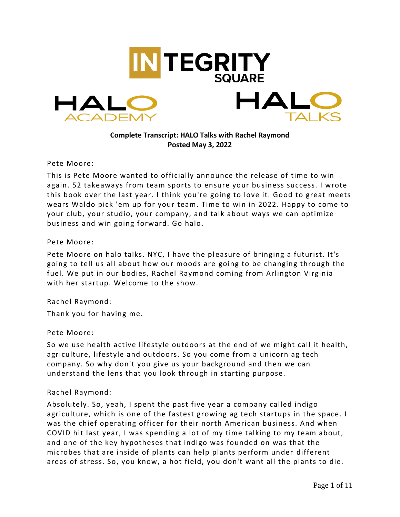

**Complete Transcript: HALO Talks with Rachel Raymond Posted May 3, 2022**

Pete Moore:

This is Pete Moore wanted to officially announce the release of time to win again. 52 takeaways from team sports to ensure your business success. I wrote this book over the last year. I think you're going to love it. Good to great meets wears Waldo pick 'em up for your team. Time to win in 2022. Happy to come to your club, your studio, your company, and talk about ways we can optimize business and win going forward. Go halo.

Pete Moore:

Pete Moore on halo talks. NYC, I have the pleasure of bringing a futurist. It's going to tell us all about how our moods are going to be changing through the fuel. We put in our bodies, Rachel Raymond coming from Arlington Virginia with her startup. Welcome to the show.

Rachel Raymond:

Thank you for having me.

#### Pete Moore:

So we use health active lifestyle outdoors at the end of we might call it health, agriculture, lifestyle and outdoors. So you come from a unicorn ag tech company. So why don't you give us your background and then we can understand the lens that you look through in starting purpose.

#### Rachel Raymond:

Absolutely. So, yeah, I spent the past five year a company called indigo agriculture, which is one of the fastest growing ag tech startups in the space. I was the chief operating officer for their north American business. And when COVID hit last year, I was spending a lot of my time talking to my team about, and one of the key hypotheses that indigo was founded on was that the microbes that are inside of plants can help plants perform under different areas of stress. So, you know, a hot field, you don't want all the plants to die.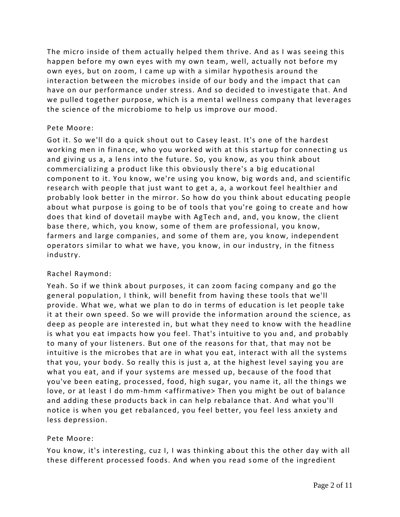The micro inside of them actually helped them thrive. And as I was seeing this happen before my own eyes with my own team, well, actually not before my own eyes, but on zoom, I came up with a similar hypothesis around the interaction between the microbes inside of our body and the impact that can have on our performance under stress. And so decided to investigate that. And we pulled together purpose, which is a mental wellness company that leverages the science of the microbiome to help us improve our mood.

### Pete Moore:

Got it. So we'll do a quick shout out to Casey least. It's one of the hardest working men in finance, who you worked with at this startup for connecting us and giving us a, a lens into the future. So, you know, as you think about commercializing a product like this obviously there's a big educational component to it. You know, we're using you know, big words and, and scientific research with people that just want to get a, a, a workout feel healthier and probably look better in the mirror. So how do you think about educating people about what purpose is going to be of tools that you're going to create and how does that kind of dovetail maybe with AgTech and, and, you know, the client base there, which, you know, some of them are professional, you know, farmers and large companies, and some of them are, you know, independent operators similar to what we have, you know, in our industry, in the fitness industry.

# Rachel Raymond:

Yeah. So if we think about purposes, it can zoom facing company and go the general population, I think, will benefit from having these tools that we'll provide. What we, what we plan to do in terms of education is let people take it at their own speed. So we will provide the information around the science, as deep as people are interested in, but what they need to know with the headline is what you eat impacts how you feel. That's intuitive to you and, and probably to many of your listeners. But one of the reasons for that, that may not be intuitive is the microbes that are in what you eat, interact with all the systems that you, your body. So really this is just a, at the highest level saying you are what you eat, and if your systems are messed up, because of the food that you've been eating, processed, food, high sugar, you name it, all the things we love, or at least I do mm-hmm <affirmative> Then you might be out of balance and adding these products back in can help rebalance that. And what you'll notice is when you get rebalanced, you feel better, you feel less anxiety and less depression.

#### Pete Moore:

You know, it's interesting, cuz I, I was thinking about this the other day with all these different processed foods. And when you read s ome of the ingredient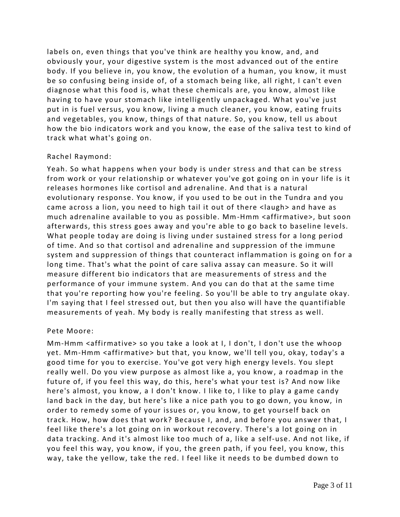labels on, even things that you've think are healthy you know, and, and obviously your, your digestive system is the most advanced out of the entire body. If you believe in, you know, the evolution of a human, you know, it must be so confusing being inside of, of a stomach being like, all right, I can't even diagnose what this food is, what these chemicals are, you know, almost like having to have your stomach like intelligently unpackaged. What you've just put in is fuel versus, you know, living a much cleaner, you know, eating fruits and vegetables, you know, things of that nature. So, you know, tell us about how the bio indicators work and you know, the ease of the saliva test to kind of track what what's going on.

### Rachel Raymond:

Yeah. So what happens when your body is under stress and that can be stress from work or your relationship or whatever you've got going on in your life is it releases hormones like cortisol and adrenaline. And that is a natural evolutionary response. You know, if you used to be out in the Tundra and you came across a lion, you need to high tail it out of there <laugh> and have as much adrenaline available to you as possible. Mm-Hmm <affirmative>, but soon afterwards, this stress goes away and you're able to go back to baseline levels. What people today are doing is living under sustained stress for a long period of time. And so that cortisol and adrenaline and suppression of the immune system and suppression of things that counteract inflammation is going on for a long time. That's what the point of care saliva assay can measure. So it will measure different bio indicators that are measurements of stress and the performance of your immune system. And you can do that at the same time that you're reporting how you're feeling. So you'll be able to try angulate okay. I'm saying that I feel stressed out, but then you also will have the quantifiable measurements of yeah. My body is really manifesting that stress as well.

#### Pete Moore:

Mm-Hmm <affirmative> so you take a look at I, I don't, I don't use the whoop yet. Mm-Hmm <affirmative> but that, you know, we'll tell you, okay, today's a good time for you to exercise. You've got very high energy levels. You slept really well. Do you view purpose as almost like a, you know , a roadmap in the future of, if you feel this way, do this, here's what your test is? And now like here's almost, you know, a I don't know. I like to, I like to play a game candy land back in the day, but here's like a nice path you to go down, you know, in order to remedy some of your issues or, you know, to get yourself back on track. How, how does that work? Because I, and, and before you answer that, I feel like there's a lot going on in workout recovery. There's a lot going on in data tracking. And it's almost like too much of a, like a self-use. And not like, if you feel this way, you know, if you, the green path, if you feel, you know, this way, take the yellow, take the red. I feel like it needs to be dumbed down to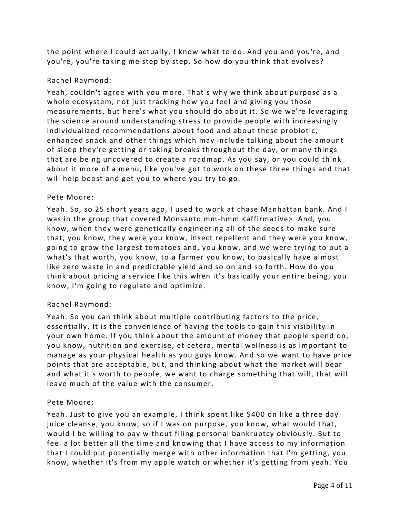the point where I could actually, I know what to do. And you and you're, and you're, you're taking me step by step. So how do you think that evolves?

# Rachel Raymond:

Yeah, couldn't agree with you more. That's why we think about purpose as a whole ecosystem, not just tracking how you feel and giving you those measurements, but here's what you should do about it. So we we're leveraging the science around understanding stress to provide people with increasingly individualized recommendations about food and about these probiotic, enhanced snack and other things which may include talking about the amount of sleep they're getting or taking breaks throughout the day, or many things that are being uncovered to create a roadmap. As you say, or you could think about it more of a menu, like you've got to work on these three things and that will help boost and get you to where you try to go.

# Pete Moore:

Yeah. So, so 25 short years ago, I used to work at chase Manhattan bank. And I was in the group that covered Monsanto mm-hmm <affirmative>. And, you know, when they were genetically engineering all of the seeds to make sure that, you know, they were you know, insect repellent and they were you know, going to grow the largest tomatoes and, you know, and we were trying to put a what's that worth, you know, to a farmer you know, to basically have almost like zero waste in and predictable yield and so on and so forth. How do you think about pricing a service like this when it's basically your entire being, you know, I'm going to regulate and optimize.

# Rachel Raymond:

Yeah. So you can think about multiple contributing factors to the price, essentially. It is the convenience of having the tools to gain this visibility in your own home. If you think about the amount of money that people spend on, you know, nutrition and exercise, et cetera, mental wellness is as important to manage as your physical health as you guys know. And so we want to have price points that are acceptable, but, and thinking about what the market will bear and what it's worth to people, we want to charge something that will, that will leave much of the value with the consumer.

# Pete Moore:

Yeah. Just to give you an example, I think spent like \$400 on like a three day juice cleanse, you know, so if I was on purpose, you know, what would that, would I be willing to pay without filing personal bankruptcy obviously. But to feel a lot better all the time and knowing that I have access to my information that I could put potentially merge with other information that I'm getting, you know, whether it's from my apple watch or whether it's getting from yeah. You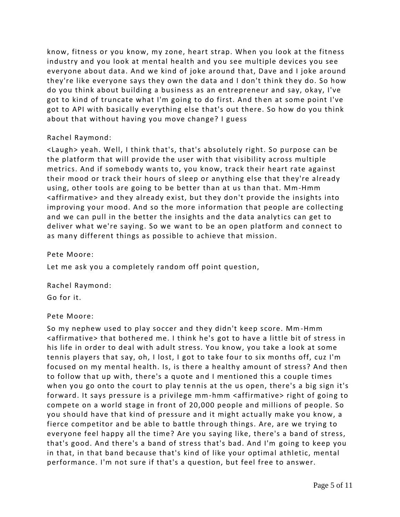know, fitness or you know, my zone, heart strap. When you look at the fitness industry and you look at mental health and you see multiple devices you see everyone about data. And we kind of joke around that, Dave and I joke around they're like everyone says they own the data and I don't think they do. So how do you think about building a business as an entrepreneur and say, okay, I've got to kind of truncate what I'm going to do first. And then at some point I've got to API with basically everything else that's out there. So how do you think about that without having you move change? I guess

# Rachel Raymond:

<Laugh> yeah. Well, I think that's, that's absolutely right. So purpose can be the platform that will provide the user with that visibility across multiple metrics. And if somebody wants to, you know, track their heart rate against their mood or track their hours of sleep or anything else that they're already using, other tools are going to be better than at us than that. Mm-Hmm <affirmative> and they already exist, but they don't provide the insights into improving your mood. And so the more information that people are collecting and we can pull in the better the insights and the data analytics can get to deliver what we're saying. So we want to be an open platform and connect to as many different things as possible to achieve that mission.

Pete Moore:

Let me ask you a completely random off point question,

Rachel Raymond:

Go for it.

# Pete Moore:

So my nephew used to play soccer and they didn't keep score. Mm-Hmm <affirmative> that bothered me. I think he's got to have a little bit of stress in his life in order to deal with adult stress. You know, you take a look at some tennis players that say, oh, I lost, I got to take four to six months off, cuz I'm focused on my mental health. Is, is there a healthy amount of stress? And then to follow that up with, there's a quote and I mentioned this a couple times when you go onto the court to play tennis at the us open, there's a big sign it's forward. It says pressure is a privilege mm-hmm <affirmative> right of going to compete on a world stage in front of 20,000 people and millions of people. So you should have that kind of pressure and it might actually make you know, a fierce competitor and be able to battle through things. Are, are we trying to everyone feel happy all the time? Are you saying like, there's a band of stress, that's good. And there's a band of stress that's bad. And I'm going to keep you in that, in that band because that's kind of like your optimal athletic, mental performance. I'm not sure if that's a question, but feel free to answer.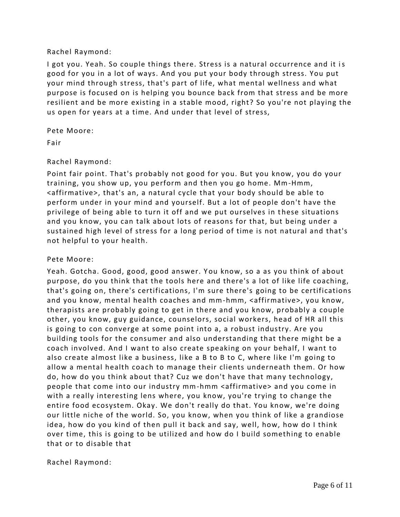### Rachel Raymond:

I got you. Yeah. So couple things there. Stress is a natural occurrence and it is good for you in a lot of ways. And you put your body through stress. You put your mind through stress, that's part of life, what mental wellness and what purpose is focused on is helping you bounce back from that stress and be more resilient and be more existing in a stable mood, right? So you're not playing the us open for years at a time. And under that level of stress,

Pete Moore:

Fair

# Rachel Raymond:

Point fair point. That's probably not good for you. But you know, you do your training, you show up, you perform and then you go home. Mm-Hmm, <affirmative>, that's an, a natural cycle that your body should be able to perform under in your mind and yourself. But a lot of people don't have the privilege of being able to turn it off and we put ourselves in these situations and you know, you can talk about lots of reasons for that, but being under a sustained high level of stress for a long period of time is not natural and that's not helpful to your health.

### Pete Moore:

Yeah. Gotcha. Good, good, good answer. You know, so a as you think of about purpose, do you think that the tools here and there's a lot of like life coaching, that's going on, there's certifications, I'm sure there's going to be certifications and you know, mental health coaches and mm-hmm, <affirmative>, you know, therapists are probably going to get in there and you know, probably a couple other, you know, guy guidance, counselors, social workers, head of HR all this is going to con converge at some point into a, a robust industry. Are you building tools for the consumer and also understanding that there might be a coach involved. And I want to also create speaking on your behalf, I want to also create almost like a business, like a B to B to C, where like I'm going to allow a mental health coach to manage their clients underneath them. Or how do, how do you think about that? Cuz we don't have that many technology, people that come into our industry mm-hmm <affirmative> and you come in with a really interesting lens where, you know, you're trying to change the entire food ecosystem. Okay. We don't really do that. You know, we're doing our little niche of the world. So, you know, when you think of like a grandiose idea, how do you kind of then pull it back and say, well, how, how do I think over time, this is going to be utilized and how do I build something to enable that or to disable that

Rachel Raymond: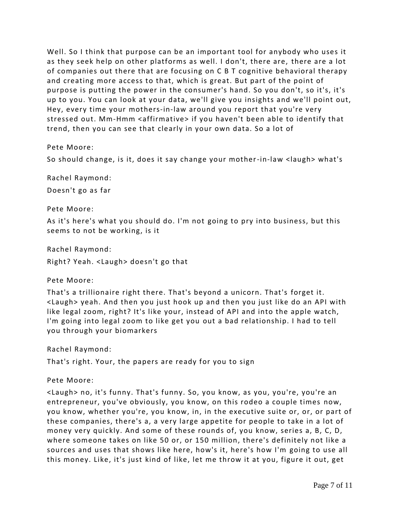Well. So I think that purpose can be an important tool for anybody who uses it as they seek help on other platforms as well. I don't, there are, there are a lot of companies out there that are focusing on C B T cognitive behavioral therapy and creating more access to that, which is great. But part of the point of purpose is putting the power in the consumer's hand. So you don't, so it's, it's up to you. You can look at your data, we'll give you insights and we'll point out, Hey, every time your mothers-in-law around you report that you're very stressed out. Mm-Hmm <affirmative> if you haven't been able to identify that trend, then you can see that clearly in your own data. So a lot of

Pete Moore:

So should change, is it, does it say change your mother-in-law <laugh> what's

Rachel Raymond:

Doesn't go as far

Pete Moore:

As it's here's what you should do. I'm not going to pry into business, but this seems to not be working, is it

Rachel Raymond:

Right? Yeah. <Laugh> doesn't go that

Pete Moore:

That's a trillionaire right there. That's beyond a unicorn. That's forget it. <Laugh> yeah. And then you just hook up and then you just like do an API with like legal zoom, right? It's like your, instead of API and into the apple watch, I'm going into legal zoom to like get you out a bad relationship. I had to tell you through your biomarkers

Rachel Raymond:

That's right. Your, the papers are ready for you to sign

Pete Moore:

<Laugh> no, it's funny. That's funny. So, you know, as you, you're, you're an entrepreneur, you've obviously, you know, on this rodeo a couple times now, you know, whether you're, you know, in, in the executive suite or, or, or part of these companies, there's a, a very large appetite for people to take in a lot of money very quickly. And some of these rounds of, you know, series a, B, C, D, where someone takes on like 50 or, or 150 million, there's definitely not like a sources and uses that shows like here, how's it, here's how I'm going to use all this money. Like, it's just kind of like, let me throw it at you, figure it out, get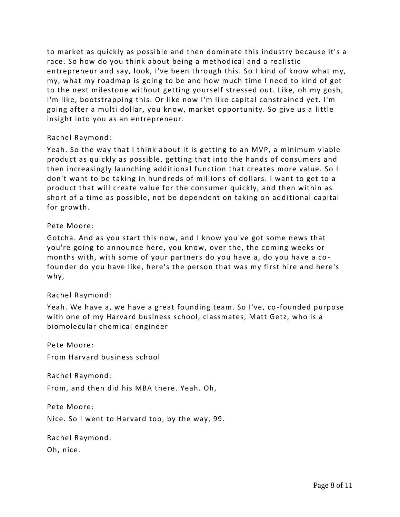to market as quickly as possible and then dominate this industry because it's a race. So how do you think about being a methodical and a realistic entrepreneur and say, look, I've been through this. So I kind of know what my, my, what my roadmap is going to be and how much time I need to kind of get to the next milestone without getting yourself stressed out. Like, oh my gosh, I'm like, bootstrapping this. Or like now I'm like capital constrained yet. I'm going after a multi dollar, you know, market opportunity. So give us a little insight into you as an entrepreneur.

### Rachel Raymond:

Yeah. So the way that I think about it is getting to an MVP, a minimum viable product as quickly as possible, getting that into the hands of consumers and then increasingly launching additional function that creates more value. So I don't want to be taking in hundreds of millions of dollars. I want to get to a product that will create value for the consumer quickly, and then within as short of a time as possible, not be dependent on taking on additional capital for growth.

### Pete Moore:

Gotcha. And as you start this now, and I know you've got some news that you're going to announce here, you know, over the, the coming weeks or months with, with some of your partners do you have a, do you have a co founder do you have like, here's the person that was my first hire and here's why,

# Rachel Raymond:

Yeah. We have a, we have a great founding team. So I've, co -founded purpose with one of my Harvard business school, classmates, Matt Getz, who is a biomolecular chemical engineer

Pete Moore:

From Harvard business school

Rachel Raymond:

From, and then did his MBA there. Yeah. Oh,

Pete Moore:

Nice. So I went to Harvard too, by the way, 99.

Rachel Raymond:

Oh, nice.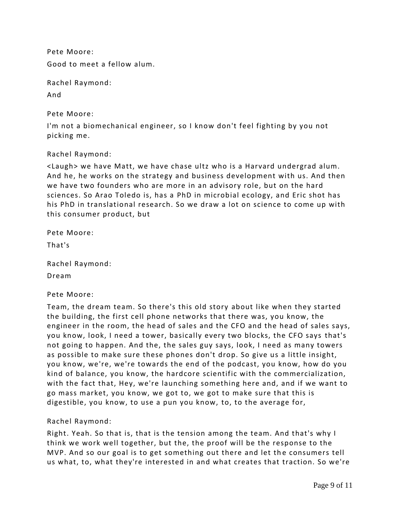Pete Moore: Good to meet a fellow alum.

Rachel Raymond: And

Pete Moore:

I'm not a biomechanical engineer, so I know don't feel fighting by you not picking me.

Rachel Raymond:

<Laugh> we have Matt, we have chase ultz who is a Harvard undergrad alum. And he, he works on the strategy and business development with us. And then we have two founders who are more in an advisory role, but on the hard sciences. So Arao Toledo is, has a PhD in microbial ecology, and Eric shot has his PhD in translational research. So we draw a lot on science to come up with this consumer product, but

| Pete Moore: |
|-------------|
|             |

That's

Rachel Raymond:

Dream

Pete Moore:

Team, the dream team. So there's this old story about like when they started the building, the first cell phone networks that there was, you know, the engineer in the room, the head of sales and the CFO and the head of sales says, you know, look, I need a tower, basically every two blocks, the CFO says that's not going to happen. And the, the sales guy says, look, I need as many towers as possible to make sure these phones don't drop. So give us a little insight, you know, we're, we're towards the end of the podcast, you know, how do you kind of balance, you know, the hardcore scientific with the commercialization, with the fact that, Hey, we're launching something here and, and if we want to go mass market, you know, we got to, we got to make sure that this is digestible, you know, to use a pun you know, to, to the average for,

# Rachel Raymond:

Right. Yeah. So that is, that is the tension among the team. And that's why I think we work well together, but the, the proof will be the response to the MVP. And so our goal is to get something out there and let the consumers tell us what, to, what they're interested in and what creates that traction. So we're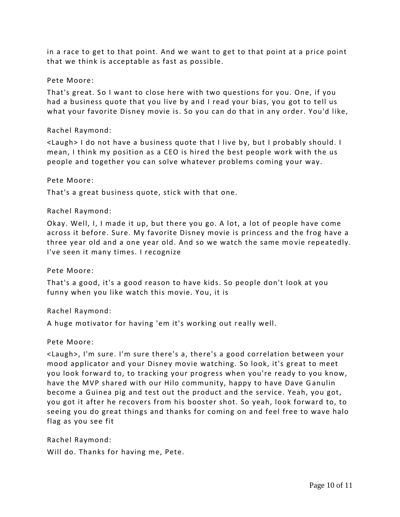in a race to get to that point. And we want to get to that point at a price point that we think is acceptable as fast as possible.

#### Pete Moore:

That's great. So I want to close here with two questions for you. One, if you had a business quote that you live by and I read your bias, you got to tell us what your favorite Disney movie is. So you can do that in any order. You'd like,

### Rachel Raymond:

<Laugh> I do not have a business quote that I live by, but I probably should. I mean, I think my position as a CEO is hired the best people work with the us people and together you can solve whatever problems coming your way.

#### Pete Moore:

That's a great business quote, stick with that one.

### Rachel Raymond:

Okay. Well, I, I made it up, but there you go. A lot, a lot of people have come across it before. Sure. My favorite Disney movie is princess and the frog have a three year old and a one year old. And so we watch the same mo vie repeatedly. I've seen it many times. I recognize

#### Pete Moore:

That's a good, it's a good reason to have kids. So people don't look at you funny when you like watch this movie. You, it is

#### Rachel Raymond:

A huge motivator for having 'em it's working out really well.

#### Pete Moore:

<Laugh>, I'm sure. I'm sure there's a, there's a good correlation between your mood applicator and your Disney movie watching. So look, it's great to meet you look forward to, to tracking your progress when you're ready to you know, have the MVP shared with our Hilo community, happy to have Dave Ganulin become a Guinea pig and test out the product and the service. Yeah, you got, you got it after he recovers from his booster shot. So yeah, look forward to, to seeing you do great things and thanks for coming on and feel free to wave halo flag as you see fit

Rachel Raymond: Will do. Thanks for having me, Pete.